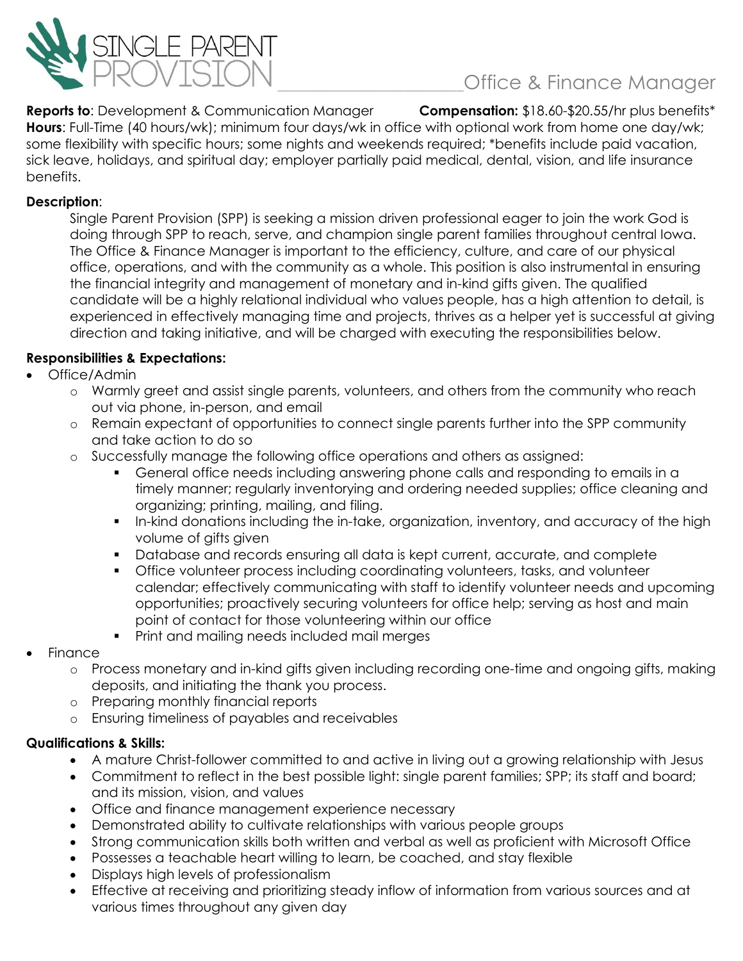

# \_\_\_\_\_\_\_\_\_\_\_\_\_\_\_\_\_\_\_\_\_\_\_\_\_\_\_\_Office & Finance Manager

**Reports to**: Development & Communication Manager **Compensation:** \$18.60-\$20.55/hr plus benefits\* **Hours**: Full-Time (40 hours/wk); minimum four days/wk in office with optional work from home one day/wk; some flexibility with specific hours; some nights and weekends required; \*benefits include paid vacation, sick leave, holidays, and spiritual day; employer partially paid medical, dental, vision, and life insurance benefits.

#### **Description**:

Single Parent Provision (SPP) is seeking a mission driven professional eager to join the work God is doing through SPP to reach, serve, and champion single parent families throughout central Iowa. The Office & Finance Manager is important to the efficiency, culture, and care of our physical office, operations, and with the community as a whole. This position is also instrumental in ensuring the financial integrity and management of monetary and in-kind gifts given. The qualified candidate will be a highly relational individual who values people, has a high attention to detail, is experienced in effectively managing time and projects, thrives as a helper yet is successful at giving direction and taking initiative, and will be charged with executing the responsibilities below.

#### **Responsibilities & Expectations:**

- Office/Admin
	- o Warmly greet and assist single parents, volunteers, and others from the community who reach out via phone, in-person, and email
	- o Remain expectant of opportunities to connect single parents further into the SPP community and take action to do so
	- o Successfully manage the following office operations and others as assigned:
		- General office needs including answering phone calls and responding to emails in a timely manner; regularly inventorying and ordering needed supplies; office cleaning and organizing; printing, mailing, and filing.
		- In-kind donations including the in-take, organization, inventory, and accuracy of the high volume of gifts given
		- Database and records ensuring all data is kept current, accurate, and complete
		- Office volunteer process including coordinating volunteers, tasks, and volunteer calendar; effectively communicating with staff to identify volunteer needs and upcoming opportunities; proactively securing volunteers for office help; serving as host and main point of contact for those volunteering within our office
		- **•** Print and mailing needs included mail merges
- **Finance** 
	- o Process monetary and in-kind gifts given including recording one-time and ongoing gifts, making deposits, and initiating the thank you process.
	- o Preparing monthly financial reports
	- o Ensuring timeliness of payables and receivables

### **Qualifications & Skills:**

- A mature Christ-follower committed to and active in living out a growing relationship with Jesus
- Commitment to reflect in the best possible light: single parent families; SPP; its staff and board; and its mission, vision, and values
- Office and finance management experience necessary
- Demonstrated ability to cultivate relationships with various people groups
- Strong communication skills both written and verbal as well as proficient with Microsoft Office
- Possesses a teachable heart willing to learn, be coached, and stay flexible
- Displays high levels of professionalism
- Effective at receiving and prioritizing steady inflow of information from various sources and at various times throughout any given day